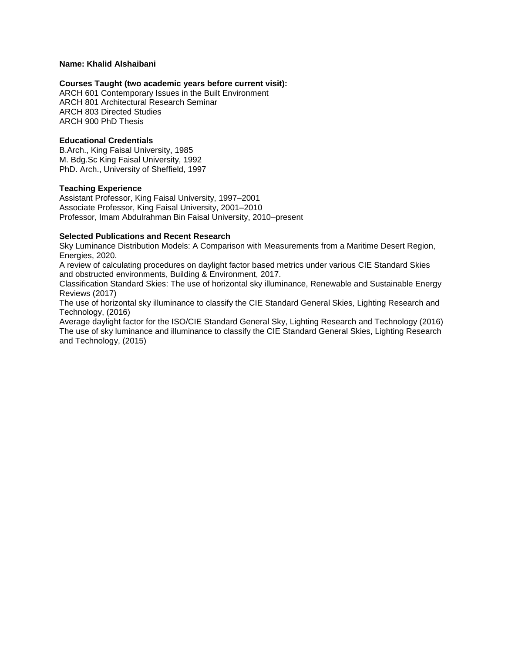## **Name: Khalid Alshaibani**

### **Courses Taught (two academic years before current visit):**

ARCH 601 Contemporary Issues in the Built Environment ARCH 801 Architectural Research Seminar ARCH 803 Directed Studies ARCH 900 PhD Thesis

## **Educational Credentials**

B.Arch., King Faisal University, 1985 M. Bdg.Sc King Faisal University, 1992 PhD. Arch., University of Sheffield, 1997

## **Teaching Experience**

Assistant Professor, King Faisal University, 1997–2001 Associate Professor, King Faisal University, 2001–2010 Professor, Imam Abdulrahman Bin Faisal University, 2010–present

## **Selected Publications and Recent Research**

Sky Luminance Distribution Models: A Comparison with Measurements from a Maritime Desert Region, Energies, 2020.

A review of calculating procedures on daylight factor based metrics under various CIE Standard Skies and obstructed environments, Building & Environment, 2017.

Classification Standard Skies: The use of horizontal sky illuminance, Renewable and Sustainable Energy Reviews (2017)

The use of horizontal sky illuminance to classify the CIE Standard General Skies, Lighting Research and Technology, (2016)

Average daylight factor for the ISO/CIE Standard General Sky, Lighting Research and Technology (2016) The use of sky luminance and illuminance to classify the CIE Standard General Skies, Lighting Research and Technology, (2015)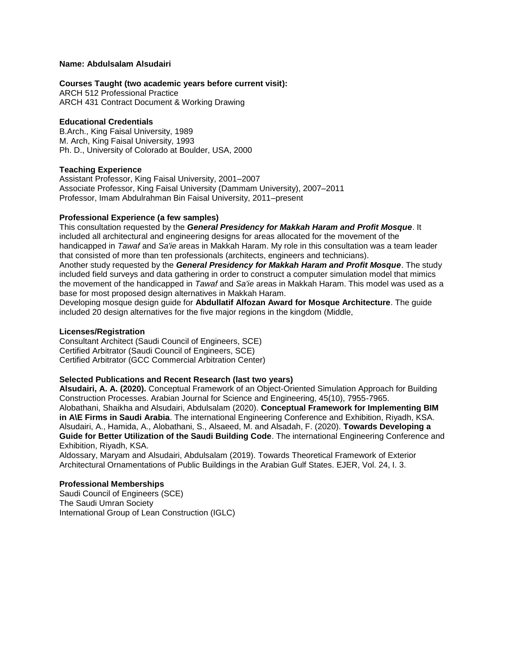### **Name: Abdulsalam Alsudairi**

### **Courses Taught (two academic years before current visit):**

ARCH 512 Professional Practice ARCH 431 Contract Document & Working Drawing

## **Educational Credentials**

B.Arch., King Faisal University, 1989 M. Arch, King Faisal University, 1993 Ph. D., University of Colorado at Boulder, USA, 2000

### **Teaching Experience**

Assistant Professor, King Faisal University, 2001–2007 Associate Professor, King Faisal University (Dammam University), 2007–2011 Professor, Imam Abdulrahman Bin Faisal University, 2011–present

## **Professional Experience (a few samples)**

This consultation requested by the *General Presidency for Makkah Haram and Profit Mosque*. It included all architectural and engineering designs for areas allocated for the movement of the handicapped in *Tawaf* and *Sa'ie* areas in Makkah Haram. My role in this consultation was a team leader that consisted of more than ten professionals (architects, engineers and technicians).

Another study requested by the *General Presidency for Makkah Haram and Profit Mosque*. The study included field surveys and data gathering in order to construct a computer simulation model that mimics the movement of the handicapped in *Tawaf* and *Sa'ie* areas in Makkah Haram. This model was used as a base for most proposed design alternatives in Makkah Haram.

Developing mosque design guide for **Abdullatif Alfozan Award for Mosque Architecture**. The guide included 20 design alternatives for the five major regions in the kingdom (Middle,

#### **Licenses/Registration**

Consultant Architect (Saudi Council of Engineers, SCE) Certified Arbitrator (Saudi Council of Engineers, SCE) Certified Arbitrator (GCC Commercial Arbitration Center)

## **Selected Publications and Recent Research (last two years)**

**Alsudairi, A. A. (2020).** Conceptual Framework of an Object-Oriented Simulation Approach for Building Construction Processes. Arabian Journal for Science and Engineering, 45(10), 7955-7965. Alobathani, Shaikha and Alsudairi, Abdulsalam (2020). **Conceptual Framework for Implementing BIM in A\E Firms in Saudi Arabia**. The international Engineering Conference and Exhibition, Riyadh, KSA. Alsudairi, A., Hamida, A., Alobathani, S., Alsaeed, M. and Alsadah, F. (2020). **Towards Developing a Guide for Better Utilization of the Saudi Building Code**. The international Engineering Conference and Exhibition, Riyadh, KSA.

Aldossary, Maryam and Alsudairi, Abdulsalam (2019). Towards Theoretical Framework of Exterior Architectural Ornamentations of Public Buildings in the Arabian Gulf States. EJER, Vol. 24, I. 3.

### **Professional Memberships**

Saudi Council of Engineers (SCE) The Saudi Umran Society International Group of Lean Construction (IGLC)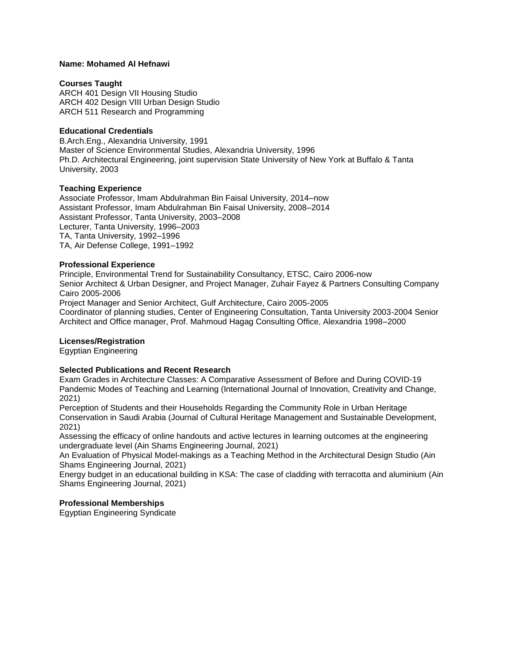## **Name: Mohamed Al Hefnawi**

### **Courses Taught**

ARCH 401 Design VII Housing Studio ARCH 402 Design VIII Urban Design Studio ARCH 511 Research and Programming

### **Educational Credentials**

B.Arch.Eng., Alexandria University, 1991 Master of Science Environmental Studies, Alexandria University, 1996 Ph.D. Architectural Engineering, joint supervision State University of New York at Buffalo & Tanta University, 2003

### **Teaching Experience**

Associate Professor, Imam Abdulrahman Bin Faisal University, 2014–now Assistant Professor, Imam Abdulrahman Bin Faisal University, 2008–2014 Assistant Professor, Tanta University, 2003–2008 Lecturer, Tanta University, 1996–2003 TA, Tanta University, 1992–1996 TA, Air Defense College, 1991–1992

## **Professional Experience**

Principle, Environmental Trend for Sustainability Consultancy, ETSC, Cairo 2006-now Senior Architect & Urban Designer, and Project Manager, Zuhair Fayez & Partners Consulting Company Cairo 2005-2006 Project Manager and Senior Architect, Gulf Architecture, Cairo 2005-2005 Coordinator of planning studies, Center of Engineering Consultation, Tanta University 2003-2004 Senior Architect and Office manager, Prof. Mahmoud Hagag Consulting Office, Alexandria 1998–2000

## **Licenses/Registration**

Egyptian Engineering

# **Selected Publications and Recent Research**

Exam Grades in Architecture Classes: A Comparative Assessment of Before and During COVID-19 Pandemic Modes of Teaching and Learning (International Journal of Innovation, Creativity and Change, 2021)

Perception of Students and their Households Regarding the Community Role in Urban Heritage Conservation in Saudi Arabia (Journal of Cultural Heritage Management and Sustainable Development, 2021)

Assessing the efficacy of online handouts and active lectures in learning outcomes at the engineering undergraduate level (Ain Shams Engineering Journal, 2021)

An Evaluation of Physical Model-makings as a Teaching Method in the Architectural Design Studio (Ain Shams Engineering Journal, 2021)

Energy budget in an educational building in KSA: The case of cladding with terracotta and aluminium (Ain Shams Engineering Journal, 2021)

## **Professional Memberships**

Egyptian Engineering Syndicate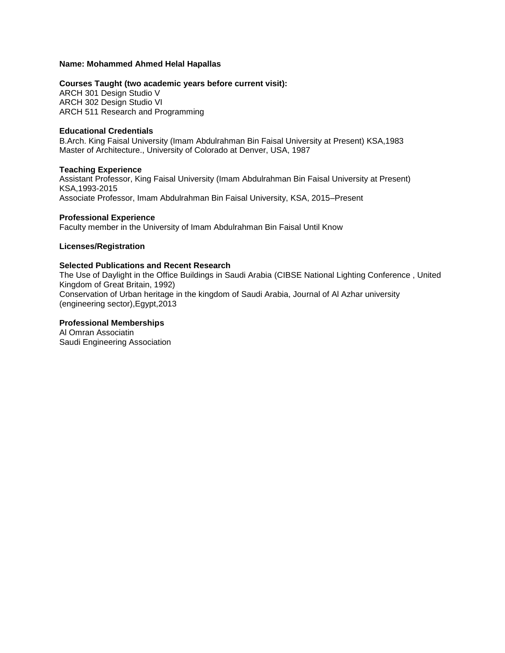# **Name: Mohammed Ahmed Helal Hapallas**

# **Courses Taught (two academic years before current visit):**

ARCH 301 Design Studio V ARCH 302 Design Studio VI ARCH 511 Research and Programming

## **Educational Credentials**

B.Arch. King Faisal University (Imam Abdulrahman Bin Faisal University at Present) KSA,1983 Master of Architecture., University of Colorado at Denver, USA, 1987

# **Teaching Experience**

Assistant Professor, King Faisal University (Imam Abdulrahman Bin Faisal University at Present) KSA,1993-2015 Associate Professor, Imam Abdulrahman Bin Faisal University, KSA, 2015–Present

# **Professional Experience**

Faculty member in the University of Imam Abdulrahman Bin Faisal Until Know

# **Licenses/Registration**

# **Selected Publications and Recent Research**

The Use of Daylight in the Office Buildings in Saudi Arabia (CIBSE National Lighting Conference , United Kingdom of Great Britain, 1992) Conservation of Urban heritage in the kingdom of Saudi Arabia, Journal of Al Azhar university (engineering sector),Egypt,2013

# **Professional Memberships**

Al Omran Associatin Saudi Engineering Association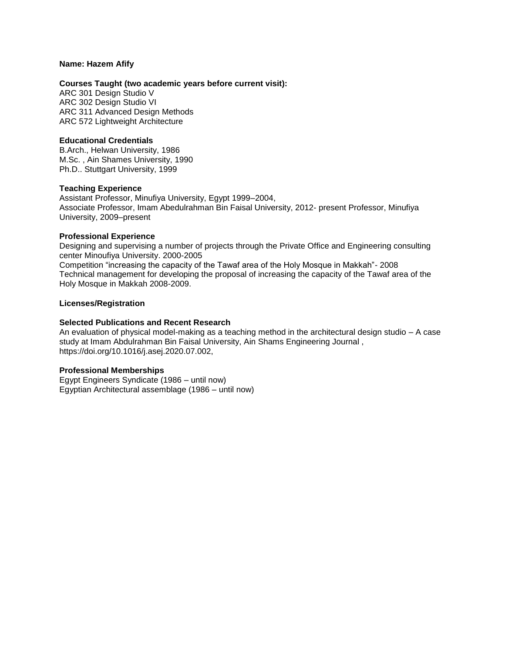### **Name: Hazem Afify**

### **Courses Taught (two academic years before current visit):**

ARC 301 Design Studio V ARC 302 Design Studio VI ARC 311 Advanced Design Methods ARC 572 Lightweight Architecture

## **Educational Credentials**

B.Arch., Helwan University, 1986 M.Sc. , Ain Shames University, 1990 Ph.D.. Stuttgart University, 1999

### **Teaching Experience**

Assistant Professor, Minufiya University, Egypt 1999–2004, Associate Professor, Imam Abedulrahman Bin Faisal University, 2012- present Professor, Minufiya University, 2009–present

### **Professional Experience**

Designing and supervising a number of projects through the Private Office and Engineering consulting center Minoufiya University. 2000-2005

Competition "increasing the capacity of the Tawaf area of the Holy Mosque in Makkah"- 2008 Technical management for developing the proposal of increasing the capacity of the Tawaf area of the Holy Mosque in Makkah 2008-2009.

# **Licenses/Registration**

### **Selected Publications and Recent Research**

An evaluation of physical model-making as a teaching method in the architectural design studio – A case study at Imam Abdulrahman Bin Faisal University, Ain Shams Engineering Journal , https://doi.org/10.1016/j.asej.2020.07.002,

#### **Professional Memberships**

Egypt Engineers Syndicate (1986 – until now) Egyptian Architectural assemblage (1986 – until now)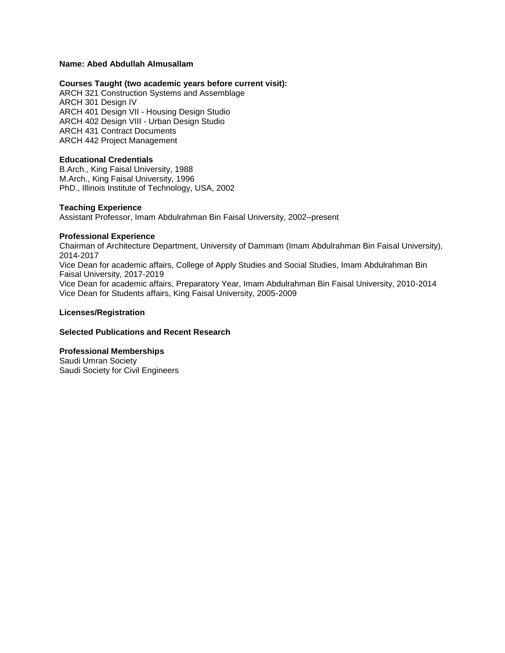# **Name: Abed Abdullah Almusallam**

## **Courses Taught (two academic years before current visit):**

ARCH 321 Construction Systems and Assemblage ARCH 301 Design IV ARCH 401 Design VII - Housing Design Studio ARCH 402 Design VIII - Urban Design Studio ARCH 431 Contract Documents ARCH 442 Project Management

# **Educational Credentials**

B.Arch., King Faisal University, 1988 M.Arch., King Faisal University, 1996 PhD., Illinois Institute of Technology, USA, 2002

### **Teaching Experience**

Assistant Professor, Imam Abdulrahman Bin Faisal University, 2002–present

### **Professional Experience**

Chairman of Architecture Department, University of Dammam (Imam Abdulrahman Bin Faisal University), 2014-2017 Vice Dean for academic affairs, College of Apply Studies and Social Studies, Imam Abdulrahman Bin Faisal University, 2017-2019

Vice Dean for academic affairs, Preparatory Year, Imam Abdulrahman Bin Faisal University, 2010-2014 Vice Dean for Students affairs, King Faisal University, 2005-2009

### **Licenses/Registration**

## **Selected Publications and Recent Research**

# **Professional Memberships**

Saudi Umran Society Saudi Society for Civil Engineers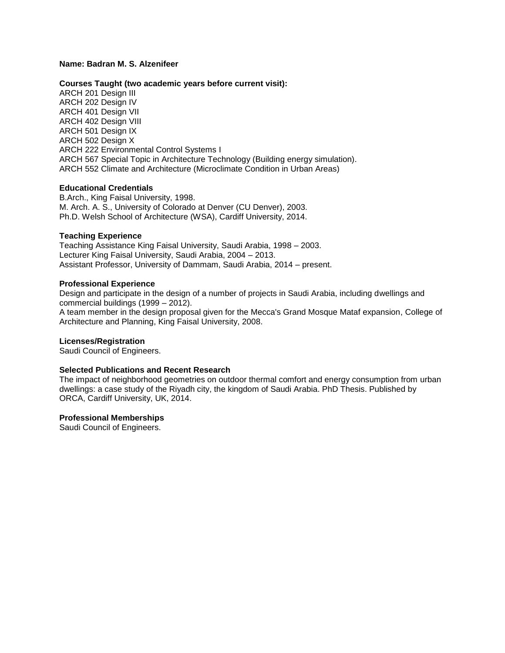## **Name: Badran M. S. Alzenifeer**

#### **Courses Taught (two academic years before current visit):**

ARCH 201 Design III ARCH 202 Design IV ARCH 401 Design VII ARCH 402 Design VIII ARCH 501 Design IX ARCH 502 Design X ARCH 222 Environmental Control Systems I ARCH 567 Special Topic in Architecture Technology (Building energy simulation). ARCH 552 Climate and Architecture (Microclimate Condition in Urban Areas)

#### **Educational Credentials**

B.Arch., King Faisal University, 1998. M. Arch. A. S., University of Colorado at Denver (CU Denver), 2003. Ph.D. Welsh School of Architecture (WSA), Cardiff University, 2014.

### **Teaching Experience**

Teaching Assistance King Faisal University, Saudi Arabia, 1998 – 2003. Lecturer King Faisal University, Saudi Arabia, 2004 – 2013. Assistant Professor, University of Dammam, Saudi Arabia, 2014 – present.

### **Professional Experience**

Design and participate in the design of a number of projects in Saudi Arabia, including dwellings and commercial buildings (1999 – 2012).

A team member in the design proposal given for the Mecca's Grand Mosque Mataf expansion, College of Architecture and Planning, King Faisal University, 2008.

#### **Licenses/Registration**

Saudi Council of Engineers.

## **Selected Publications and Recent Research**

The impact of neighborhood geometries on outdoor thermal comfort and energy consumption from urban dwellings: a case study of the Riyadh city, the kingdom of Saudi Arabia. PhD Thesis. Published by ORCA, Cardiff University, UK, 2014.

#### **Professional Memberships**

Saudi Council of Engineers.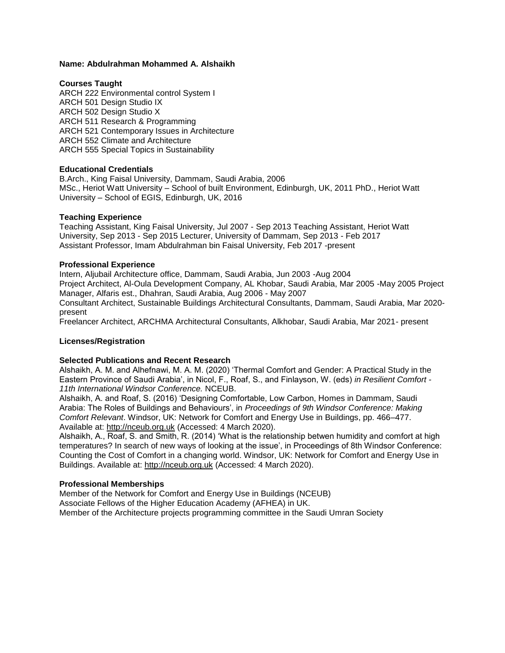### **Name: Abdulrahman Mohammed A. Alshaikh**

### **Courses Taught**

ARCH 222 Environmental control System I ARCH 501 Design Studio IX ARCH 502 Design Studio X ARCH 511 Research & Programming ARCH 521 Contemporary Issues in Architecture ARCH 552 Climate and Architecture ARCH 555 Special Topics in Sustainability

## **Educational Credentials**

B.Arch., King Faisal University, Dammam, Saudi Arabia, 2006 MSc., Heriot Watt University – School of built Environment, Edinburgh, UK, 2011 PhD., Heriot Watt University – School of EGIS, Edinburgh, UK, 2016

### **Teaching Experience**

Teaching Assistant, King Faisal University, Jul 2007 - Sep 2013 Teaching Assistant, Heriot Watt University, Sep 2013 - Sep 2015 Lecturer, University of Dammam, Sep 2013 - Feb 2017 Assistant Professor, Imam Abdulrahman bin Faisal University, Feb 2017 -present

### **Professional Experience**

Intern, Aljubail Architecture office, Dammam, Saudi Arabia, Jun 2003 -Aug 2004 Project Architect, Al-Oula Development Company, AL Khobar, Saudi Arabia, Mar 2005 -May 2005 Project Manager, Alfaris est., Dhahran, Saudi Arabia, Aug 2006 - May 2007 Consultant Architect, Sustainable Buildings Architectural Consultants, Dammam, Saudi Arabia, Mar 2020 present

Freelancer Architect, ARCHMA Architectural Consultants, Alkhobar, Saudi Arabia, Mar 2021- present

## **Licenses/Registration**

#### **Selected Publications and Recent Research**

Alshaikh, A. M. and Alhefnawi, M. A. M. (2020) 'Thermal Comfort and Gender: A Practical Study in the Eastern Province of Saudi Arabia', in Nicol, F., Roaf, S., and Finlayson, W. (eds) *in Resilient Comfort - 11th International Windsor Conference.* NCEUB.

Alshaikh, A. and Roaf, S. (2016) 'Designing Comfortable, Low Carbon, Homes in Dammam, Saudi Arabia: The Roles of Buildings and Behaviours', in *Proceedings of 9th Windsor Conference: Making Comfort Relevant*. Windsor, UK: Network for Comfort and Energy Use in Buildings, pp. 466–477. Available at: http://nceub.org.uk (Accessed: 4 March 2020).

Alshaikh, A., Roaf, S. and Smith, R. (2014) 'What is the relationship betwen humidity and comfort at high temperatures? In search of new ways of looking at the issue', in Proceedings of 8th Windsor Conference: Counting the Cost of Comfort in a changing world. Windsor, UK: Network for Comfort and Energy Use in Buildings. Available at: http://nceub.org.uk (Accessed: 4 March 2020).

#### **Professional Memberships**

Member of the Network for Comfort and Energy Use in Buildings (NCEUB) Associate Fellows of the Higher Education Academy (AFHEA) in UK. Member of the Architecture projects programming committee in the Saudi Umran Society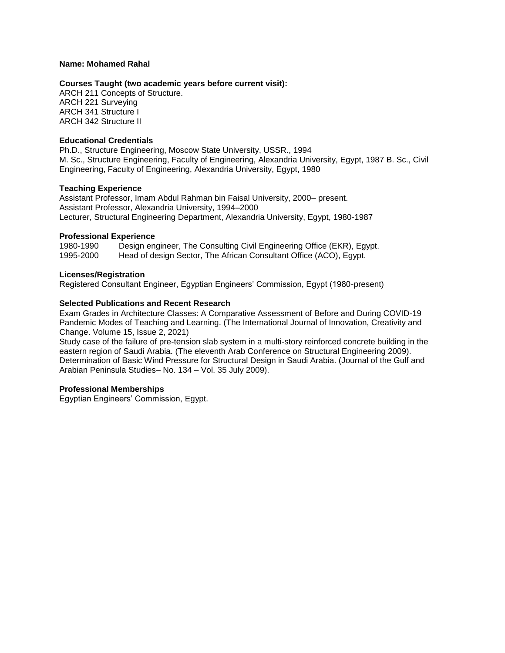### **Name: Mohamed Rahal**

### **Courses Taught (two academic years before current visit):**

ARCH 211 Concepts of Structure. ARCH 221 Surveying ARCH 341 Structure I ARCH 342 Structure II

### **Educational Credentials**

Ph.D., Structure Engineering, Moscow State University, USSR., 1994 M. Sc., Structure Engineering, Faculty of Engineering, Alexandria University, Egypt, 1987 B. Sc., Civil Engineering, Faculty of Engineering, Alexandria University, Egypt, 1980

### **Teaching Experience**

Assistant Professor, Imam Abdul Rahman bin Faisal University, 2000– present. Assistant Professor, Alexandria University, 1994–2000 Lecturer, Structural Engineering Department, Alexandria University, Egypt, 1980-1987

### **Professional Experience**

1980-1990 Design engineer, The Consulting Civil Engineering Office (EKR), Egypt. 1995-2000 Head of design Sector, The African Consultant Office (ACO), Egypt.

### **Licenses/Registration**

Registered Consultant Engineer, Egyptian Engineers' Commission, Egypt (1980-present)

# **Selected Publications and Recent Research**

Exam Grades in Architecture Classes: A Comparative Assessment of Before and During COVID-19 Pandemic Modes of Teaching and Learning. (The International Journal of Innovation, Creativity and Change. Volume 15, Issue 2, 2021)

Study case of the failure of pre-tension slab system in a multi-story reinforced concrete building in the eastern region of Saudi Arabia. (The eleventh Arab Conference on Structural Engineering 2009). Determination of Basic Wind Pressure for Structural Design in Saudi Arabia. (Journal of the Gulf and Arabian Peninsula Studies– No. 134 – Vol. 35 July 2009).

## **Professional Memberships**

Egyptian Engineers' Commission, Egypt.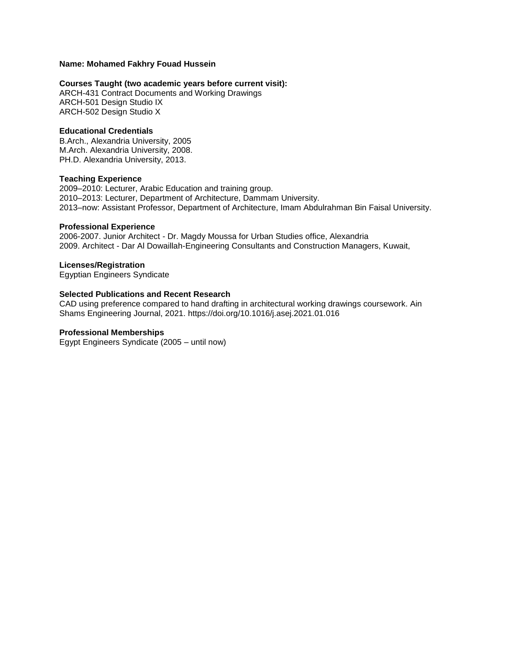# **Name: Mohamed Fakhry Fouad Hussein**

# **Courses Taught (two academic years before current visit):**

ARCH-431 Contract Documents and Working Drawings ARCH-501 Design Studio IX ARCH-502 Design Studio X

## **Educational Credentials**

B.Arch., Alexandria University, 2005 M.Arch. Alexandria University, 2008. PH.D. Alexandria University, 2013.

### **Teaching Experience**

2009–2010: Lecturer, Arabic Education and training group. 2010–2013: Lecturer, Department of Architecture, Dammam University. 2013–now: Assistant Professor, Department of Architecture, Imam Abdulrahman Bin Faisal University.

### **Professional Experience**

2006-2007. Junior Architect - Dr. Magdy Moussa for Urban Studies office, Alexandria 2009. Architect - Dar Al Dowaillah-Engineering Consultants and Construction Managers, Kuwait,

### **Licenses/Registration**

Egyptian Engineers Syndicate

### **Selected Publications and Recent Research**

CAD using preference compared to hand drafting in architectural working drawings coursework. Ain Shams Engineering Journal, 2021. https://doi.org/10.1016/j.asej.2021.01.016

#### **Professional Memberships**

Egypt Engineers Syndicate (2005 – until now)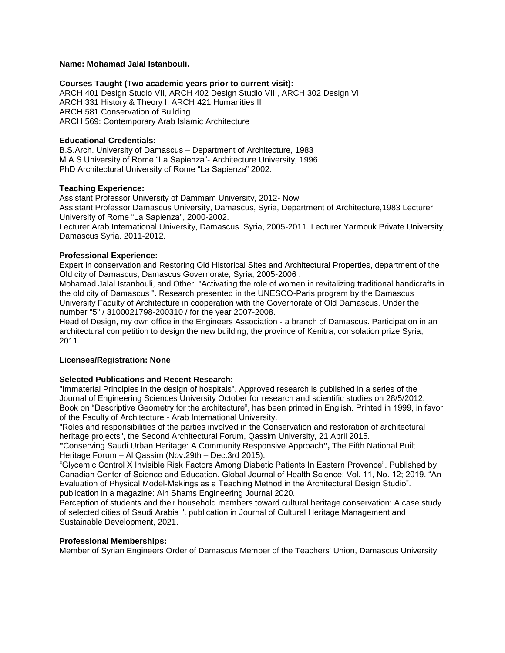### **Name: Mohamad Jalal Istanbouli.**

#### **Courses Taught (Two academic years prior to current visit):**

ARCH 401 Design Studio VII, ARCH 402 Design Studio VIII, ARCH 302 Design VI ARCH 331 History & Theory I, ARCH 421 Humanities II ARCH 581 Conservation of Building ARCH 569: Contemporary Arab Islamic Architecture

## **Educational Credentials:**

B.S.Arch. University of Damascus – Department of Architecture, 1983 M.A.S University of Rome "La Sapienza"- Architecture University, 1996. PhD Architectural University of Rome "La Sapienza" 2002.

## **Teaching Experience:**

Assistant Professor University of Dammam University, 2012- Now Assistant Professor Damascus University, Damascus, Syria, Department of Architecture,1983 Lecturer University of Rome "La Sapienza", 2000-2002.

Lecturer Arab International University, Damascus. Syria, 2005-2011. Lecturer Yarmouk Private University, Damascus Syria. 2011-2012.

# **Professional Experience:**

Expert in conservation and Restoring Old Historical Sites and Architectural Properties, department of the Old city of Damascus, Damascus Governorate, Syria, 2005-2006 .

Mohamad Jalal Istanbouli, and Other. "Activating the role of women in revitalizing traditional handicrafts in the old city of Damascus ". Research presented in the UNESCO-Paris program by the Damascus University Faculty of Architecture in cooperation with the Governorate of Old Damascus. Under the number "5" / 3100021798-200310 / for the year 2007-2008.

Head of Design, my own office in the Engineers Association - a branch of Damascus. Participation in an architectural competition to design the new building, the province of Kenitra, consolation prize Syria, 2011.

## **Licenses/Registration: None**

## **Selected Publications and Recent Research:**

"Immaterial Principles in the design of hospitals". Approved research is published in a series of the Journal of Engineering Sciences University October for research and scientific studies on 28/5/2012. Book on "Descriptive Geometry for the architecture", has been printed in English. Printed in 1999, in favor of the Faculty of Architecture - Arab International University.

"Roles and responsibilities of the parties involved in the Conservation and restoration of architectural heritage projects", the Second Architectural Forum, Qassim University, 21 April 2015.

**"**Conserving Saudi Urban Heritage: A Community Responsive Approach**",** The Fifth National Built Heritage Forum – Al Qassim (Nov.29th – Dec.3rd 2015).

"Glycemic Control X Invisible Risk Factors Among Diabetic Patients In Eastern Provence". Published by Canadian Center of Science and Education. Global Journal of Health Science; Vol. 11, No. 12; 2019. "An Evaluation of Physical Model-Makings as a Teaching Method in the Architectural Design Studio". publication in a magazine: Ain Shams Engineering Journal 2020.

Perception of students and their household members toward cultural heritage conservation: A case study of selected cities of Saudi Arabia ". publication in Journal of Cultural Heritage Management and Sustainable Development, 2021.

## **Professional Memberships:**

Member of Syrian Engineers Order of Damascus Member of the Teachers' Union, Damascus University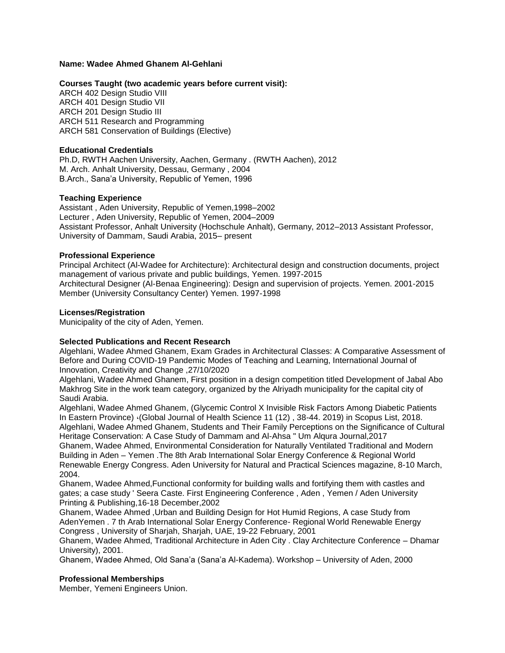# **Name: Wadee Ahmed Ghanem Al-Gehlani**

## **Courses Taught (two academic years before current visit):**

ARCH 402 Design Studio VIII ARCH 401 Design Studio VII ARCH 201 Design Studio III ARCH 511 Research and Programming ARCH 581 Conservation of Buildings (Elective)

## **Educational Credentials**

Ph.D, RWTH Aachen University, Aachen, Germany . (RWTH Aachen), 2012 M. Arch. Anhalt University, Dessau, Germany , 2004 B.Arch., Sana'a University, Republic of Yemen, 1996

# **Teaching Experience**

Assistant , Aden University, Republic of Yemen,1998–2002 Lecturer , Aden University, Republic of Yemen, 2004–2009 Assistant Professor, Anhalt University (Hochschule Anhalt), Germany, 2012–2013 Assistant Professor, University of Dammam, Saudi Arabia, 2015– present

# **Professional Experience**

Principal Architect (Al-Wadee for Architecture): Architectural design and construction documents, project management of various private and public buildings, Yemen. 1997-2015 Architectural Designer (Al-Benaa Engineering): Design and supervision of projects. Yemen. 2001-2015 Member (University Consultancy Center) Yemen. 1997-1998

# **Licenses/Registration**

Municipality of the city of Aden, Yemen.

# **Selected Publications and Recent Research**

Algehlani, Wadee Ahmed Ghanem, Exam Grades in Architectural Classes: A Comparative Assessment of Before and During COVID-19 Pandemic Modes of Teaching and Learning, International Journal of Innovation, Creativity and Change ,27/10/2020

Algehlani, Wadee Ahmed Ghanem, First position in a design competition titled Development of Jabal Abo Makhrog Site in the work team category, organized by the Alriyadh municipality for the capital city of Saudi Arabia.

Algehlani, Wadee Ahmed Ghanem, (Glycemic Control X Invisible Risk Factors Among Diabetic Patients In Eastern Province) ،(Global Journal of Health Science 11 (12) , 38-44. 2019) in Scopus List, 2018. Algehlani, Wadee Ahmed Ghanem, Students and Their Family Perceptions on the Significance of Cultural Heritage Conservation: A Case Study of Dammam and Al-Ahsa " Um Alqura Journal,2017

Ghanem, Wadee Ahmed, Environmental Consideration for Naturally Ventilated Traditional and Modern Building in Aden – Yemen .The 8th Arab International Solar Energy Conference & Regional World Renewable Energy Congress. Aden University for Natural and Practical Sciences magazine, 8-10 March, 2004.

Ghanem, Wadee Ahmed,Functional conformity for building walls and fortifying them with castles and gates; a case study ' Seera Caste. First Engineering Conference , Aden , Yemen / Aden University Printing & Publishing,16-18 December,2002

Ghanem, Wadee Ahmed ,Urban and Building Design for Hot Humid Regions, A case Study from AdenYemen . 7 th Arab International Solar Energy Conference- Regional World Renewable Energy Congress , University of Sharjah, Sharjah, UAE, 19-22 February, 2001

Ghanem, Wadee Ahmed, Traditional Architecture in Aden City . Clay Architecture Conference – Dhamar University), 2001.

Ghanem, Wadee Ahmed, Old Sana'a (Sana'a Al-Kadema). Workshop – University of Aden, 2000

## **Professional Memberships**

Member, Yemeni Engineers Union.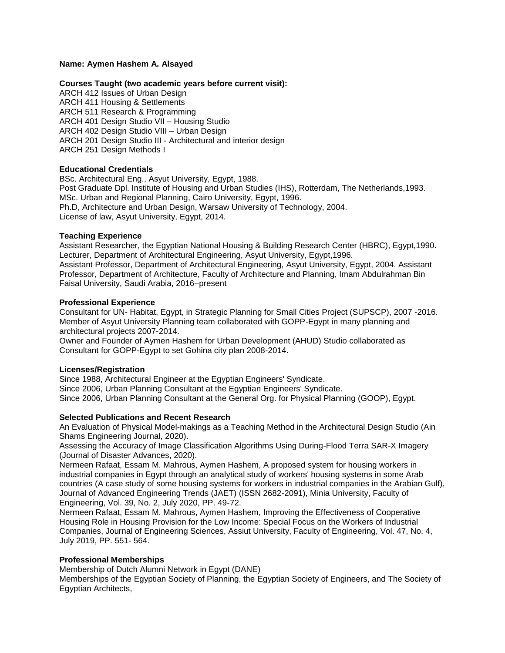## **Name: Aymen Hashem A. Alsayed**

## **Courses Taught (two academic years before current visit):**

ARCH 412 Issues of Urban Design ARCH 411 Housing & Settlements ARCH 511 Research & Programming ARCH 401 Design Studio VII – Housing Studio ARCH 402 Design Studio VIII – Urban Design ARCH 201 Design Studio III - Architectural and interior design ARCH 251 Design Methods I

## **Educational Credentials**

BSc. Architectural Eng., Asyut University, Egypt, 1988. Post Graduate Dpl. Institute of Housing and Urban Studies (IHS), Rotterdam, The Netherlands,1993. MSc. Urban and Regional Planning, Cairo University, Egypt, 1996. Ph.D, Architecture and Urban Design, Warsaw University of Technology, 2004. License of law, Asyut University, Egypt, 2014.

### **Teaching Experience**

Assistant Researcher, the Egyptian National Housing & Building Research Center (HBRC), Egypt,1990. Lecturer, Department of Architectural Engineering, Asyut University, Egypt,1996. Assistant Professor, Department of Architectural Engineering, Asyut University, Egypt, 2004. Assistant Professor, Department of Architecture, Faculty of Architecture and Planning, Imam Abdulrahman Bin Faisal University, Saudi Arabia, 2016–present

#### **Professional Experience**

Consultant for UN- Habitat, Egypt, in Strategic Planning for Small Cities Project (SUPSCP), 2007 -2016. Member of Asyut University Planning team collaborated with GOPP-Egypt in many planning and architectural projects 2007-2014.

Owner and Founder of Aymen Hashem for Urban Development (AHUD) Studio collaborated as Consultant for GOPP-Egypt to set Gohina city plan 2008-2014.

#### **Licenses/Registration**

Since 1988, Architectural Engineer at the Egyptian Engineers' Syndicate. Since 2006, Urban Planning Consultant at the Egyptian Engineers' Syndicate. Since 2006, Urban Planning Consultant at the General Org. for Physical Planning (GOOP), Egypt.

## **Selected Publications and Recent Research**

An Evaluation of Physical Model-makings as a Teaching Method in the Architectural Design Studio (Ain Shams Engineering Journal, 2020).

Assessing the Accuracy of Image Classification Algorithms Using During-Flood Terra SAR-X Imagery (Journal of Disaster Advances, 2020).

Nermeen Rafaat, Essam M. Mahrous, Aymen Hashem, A proposed system for housing workers in industrial companies in Egypt through an analytical study of workers' housing systems in some Arab countries (A case study of some housing systems for workers in industrial companies in the Arabian Gulf), Journal of Advanced Engineering Trends (JAET) (ISSN 2682-2091), Minia University, Faculty of Engineering, Vol. 39, No. 2, July 2020, PP. 49-72.

Nermeen Rafaat, Essam M. Mahrous, Aymen Hashem, Improving the Effectiveness of Cooperative Housing Role in Housing Provision for the Low Income: Special Focus on the Workers of Industrial Companies, Journal of Engineering Sciences, Assiut University, Faculty of Engineering, Vol. 47, No. 4, July 2019, PP. 551- 564.

## **Professional Memberships**

Membership of Dutch Alumni Network in Egypt (DANE)

Memberships of the Egyptian Society of Planning, the Egyptian Society of Engineers, and The Society of Egyptian Architects,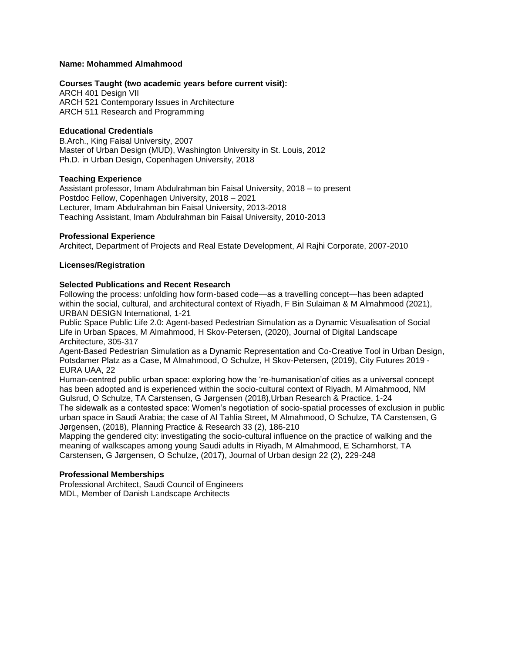### **Name: Mohammed Almahmood**

### **Courses Taught (two academic years before current visit):**

ARCH 401 Design VII ARCH 521 Contemporary Issues in Architecture ARCH 511 Research and Programming

# **Educational Credentials**

B.Arch., King Faisal University, 2007 Master of Urban Design (MUD), Washington University in St. Louis, 2012 Ph.D. in Urban Design, Copenhagen University, 2018

### **Teaching Experience**

Assistant professor, Imam Abdulrahman bin Faisal University, 2018 – to present Postdoc Fellow, Copenhagen University, 2018 – 2021 Lecturer, Imam Abdulrahman bin Faisal University, 2013-2018 Teaching Assistant, Imam Abdulrahman bin Faisal University, 2010-2013

### **Professional Experience**

Architect, Department of Projects and Real Estate Development, Al Rajhi Corporate, 2007-2010

### **Licenses/Registration**

### **Selected Publications and Recent Research**

Following the process: unfolding how form-based code—as a travelling concept—has been adapted within the social, cultural, and architectural context of Riyadh, F Bin Sulaiman & M Almahmood (2021), URBAN DESIGN International, 1-21

Public Space Public Life 2.0: Agent-based Pedestrian Simulation as a Dynamic Visualisation of Social Life in Urban Spaces, M Almahmood, H Skov-Petersen, (2020), Journal of Digital Landscape Architecture, 305-317

Agent-Based Pedestrian Simulation as a Dynamic Representation and Co-Creative Tool in Urban Design, Potsdamer Platz as a Case, M Almahmood, O Schulze, H Skov-Petersen, (2019), City Futures 2019 - EURA UAA, 22

Human-centred public urban space: exploring how the 're-humanisation'of cities as a universal concept has been adopted and is experienced within the socio-cultural context of Riyadh, M Almahmood, NM Gulsrud, O Schulze, TA Carstensen, G Jørgensen (2018),Urban Research & Practice, 1-24

The sidewalk as a contested space: Women's negotiation of socio-spatial processes of exclusion in public urban space in Saudi Arabia; the case of Al Tahlia Street, M Almahmood, O Schulze, TA Carstensen, G Jørgensen, (2018), Planning Practice & Research 33 (2), 186-210

Mapping the gendered city: investigating the socio-cultural influence on the practice of walking and the meaning of walkscapes among young Saudi adults in Riyadh, M Almahmood, E Scharnhorst, TA Carstensen, G Jørgensen, O Schulze, (2017), Journal of Urban design 22 (2), 229-248

#### **Professional Memberships**

Professional Architect, Saudi Council of Engineers MDL, Member of Danish Landscape Architects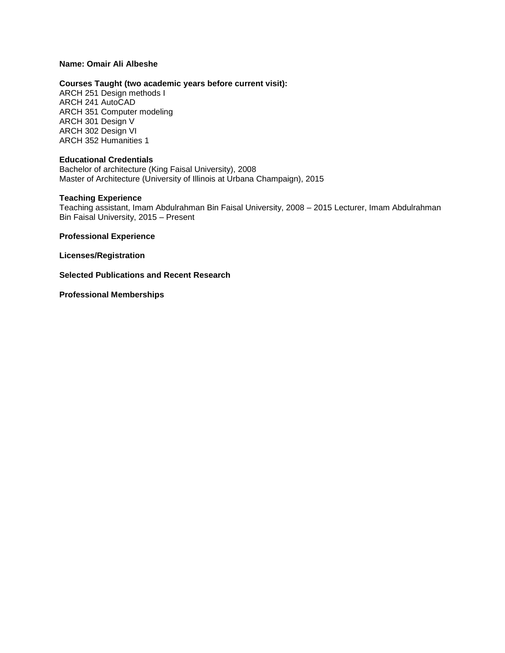## **Name: Omair Ali Albeshe**

## **Courses Taught (two academic years before current visit):**

ARCH 251 Design methods I ARCH 241 AutoCAD ARCH 351 Computer modeling ARCH 301 Design V ARCH 302 Design VI ARCH 352 Humanities 1

## **Educational Credentials**

Bachelor of architecture (King Faisal University), 2008 Master of Architecture (University of Illinois at Urbana Champaign), 2015

### **Teaching Experience**

Teaching assistant, Imam Abdulrahman Bin Faisal University, 2008 – 2015 Lecturer, Imam Abdulrahman Bin Faisal University, 2015 – Present

**Professional Experience**

**Licenses/Registration** 

**Selected Publications and Recent Research**

**Professional Memberships**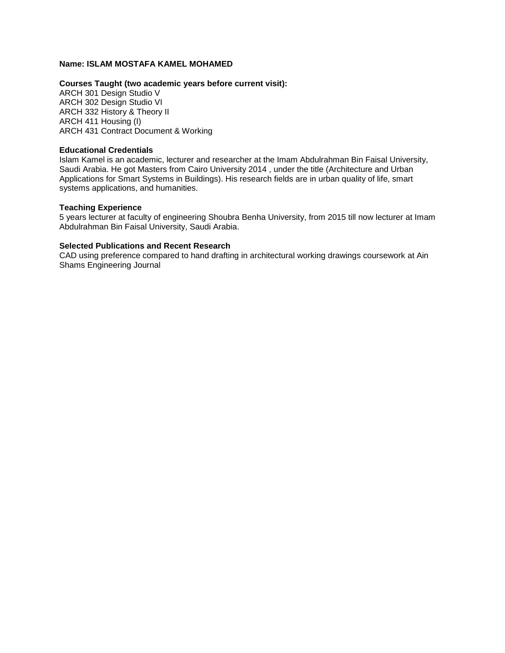# **Name: ISLAM MOSTAFA KAMEL MOHAMED**

# **Courses Taught (two academic years before current visit):**

ARCH 301 Design Studio V ARCH 302 Design Studio VI ARCH 332 History & Theory II ARCH 411 Housing (I) ARCH 431 Contract Document & Working

### **Educational Credentials**

Islam Kamel is an academic, lecturer and researcher at the Imam Abdulrahman Bin Faisal University, Saudi Arabia. He got Masters from Cairo University 2014 , under the title (Architecture and Urban Applications for Smart Systems in Buildings). His research fields are in urban quality of life, smart systems applications, and humanities.

### **Teaching Experience**

5 years lecturer at faculty of engineering Shoubra Benha University, from 2015 till now lecturer at Imam Abdulrahman Bin Faisal University, Saudi Arabia.

### **Selected Publications and Recent Research**

CAD using preference compared to hand drafting in architectural working drawings coursework at Ain Shams Engineering Journal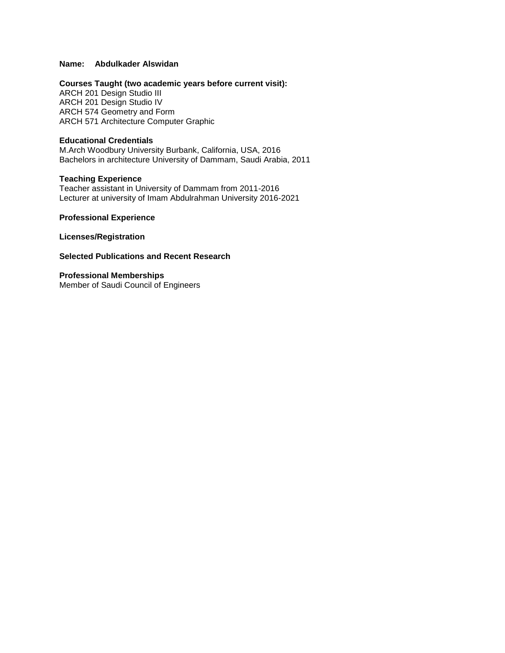# **Name: Abdulkader Alswidan**

### **Courses Taught (two academic years before current visit):**

ARCH 201 Design Studio III ARCH 201 Design Studio IV ARCH 574 Geometry and Form ARCH 571 Architecture Computer Graphic

# **Educational Credentials**

M.Arch Woodbury University Burbank, California, USA, 2016 Bachelors in architecture University of Dammam, Saudi Arabia, 2011

#### **Teaching Experience**

Teacher assistant in University of Dammam from 2011-2016 Lecturer at university of Imam Abdulrahman University 2016-2021

**Professional Experience**

**Licenses/Registration** 

## **Selected Publications and Recent Research**

**Professional Memberships** Member of Saudi Council of Engineers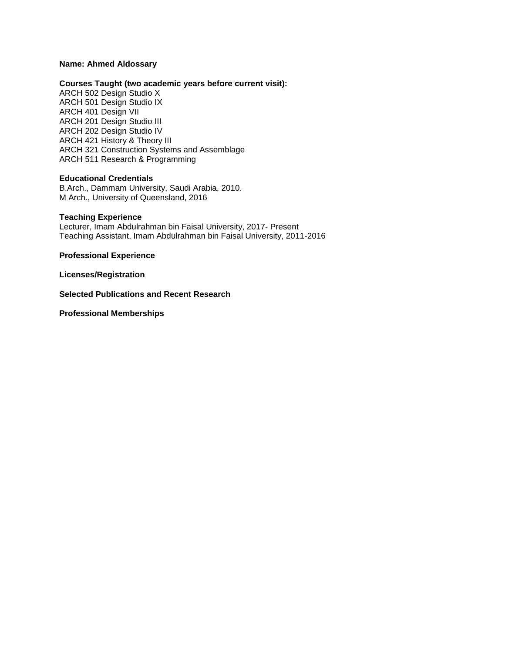## **Name: Ahmed Aldossary**

### **Courses Taught (two academic years before current visit):**

ARCH 502 Design Studio X ARCH 501 Design Studio IX ARCH 401 Design VII ARCH 201 Design Studio III ARCH 202 Design Studio IV ARCH 421 History & Theory III ARCH 321 Construction Systems and Assemblage ARCH 511 Research & Programming

#### **Educational Credentials**

B.Arch., Dammam University, Saudi Arabia, 2010. M Arch., University of Queensland, 2016

### **Teaching Experience**

Lecturer, Imam Abdulrahman bin Faisal University, 2017- Present Teaching Assistant, Imam Abdulrahman bin Faisal University, 2011-2016

**Professional Experience** 

**Licenses/Registration**

**Selected Publications and Recent Research** 

**Professional Memberships**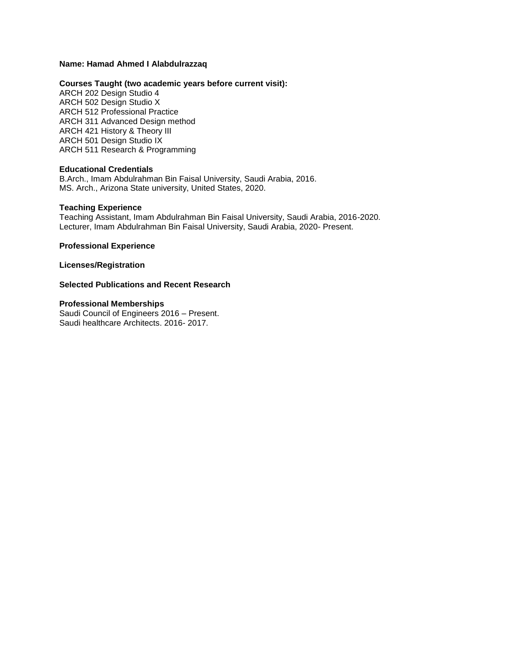# **Name: Hamad Ahmed I Alabdulrazzaq**

### **Courses Taught (two academic years before current visit):**

ARCH 202 Design Studio 4 ARCH 502 Design Studio X ARCH 512 Professional Practice ARCH 311 Advanced Design method ARCH 421 History & Theory III ARCH 501 Design Studio IX ARCH 511 Research & Programming

### **Educational Credentials**

B.Arch., Imam Abdulrahman Bin Faisal University, Saudi Arabia, 2016. MS. Arch., Arizona State university, United States, 2020.

#### **Teaching Experience**

Teaching Assistant, Imam Abdulrahman Bin Faisal University, Saudi Arabia, 2016-2020. Lecturer, Imam Abdulrahman Bin Faisal University, Saudi Arabia, 2020- Present.

**Professional Experience**

**Licenses/Registration** 

## **Selected Publications and Recent Research**

#### **Professional Memberships**

Saudi Council of Engineers 2016 – Present. Saudi healthcare Architects. 2016- 2017.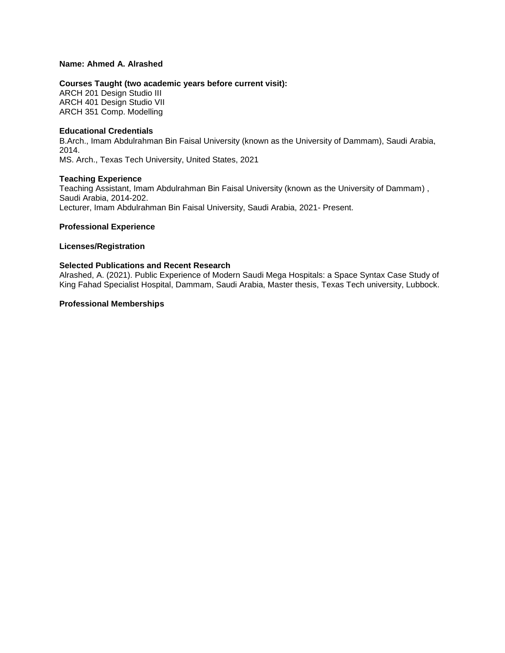# **Name: Ahmed A. Alrashed**

# **Courses Taught (two academic years before current visit):**

ARCH 201 Design Studio III ARCH 401 Design Studio VII ARCH 351 Comp. Modelling

### **Educational Credentials**

B.Arch., Imam Abdulrahman Bin Faisal University (known as the University of Dammam), Saudi Arabia, 2014. MS. Arch., Texas Tech University, United States, 2021

### **Teaching Experience**

Teaching Assistant, Imam Abdulrahman Bin Faisal University (known as the University of Dammam) , Saudi Arabia, 2014-202. Lecturer, Imam Abdulrahman Bin Faisal University, Saudi Arabia, 2021- Present.

### **Professional Experience**

### **Licenses/Registration**

### **Selected Publications and Recent Research**

Alrashed, A. (2021). Public Experience of Modern Saudi Mega Hospitals: a Space Syntax Case Study of King Fahad Specialist Hospital, Dammam, Saudi Arabia, Master thesis, Texas Tech university, Lubbock.

# **Professional Memberships**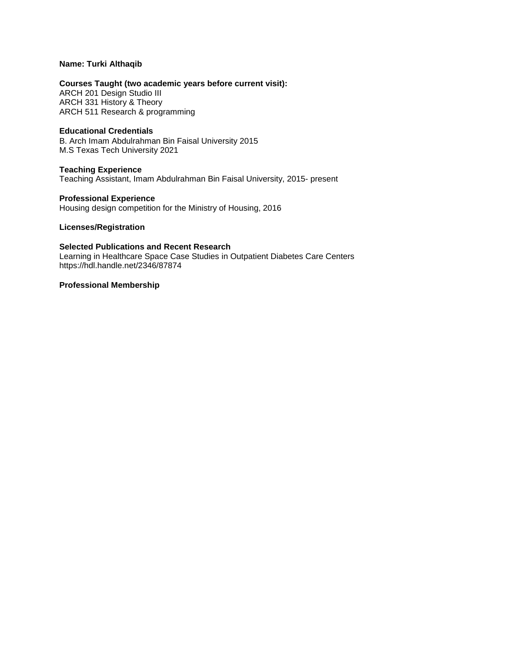## **Name: Turki Althaqib**

### **Courses Taught (two academic years before current visit):**

ARCH 201 Design Studio III ARCH 331 History & Theory ARCH 511 Research & programming

## **Educational Credentials**

B. Arch Imam Abdulrahman Bin Faisal University 2015 M.S Texas Tech University 2021

### **Teaching Experience**

Teaching Assistant, Imam Abdulrahman Bin Faisal University, 2015- present

### **Professional Experience**

Housing design competition for the Ministry of Housing, 2016

## **Licenses/Registration**

## **Selected Publications and Recent Research**

Learning in Healthcare Space Case Studies in Outpatient Diabetes Care Centers https://hdl.handle.net/2346/87874

## **Professional Membership**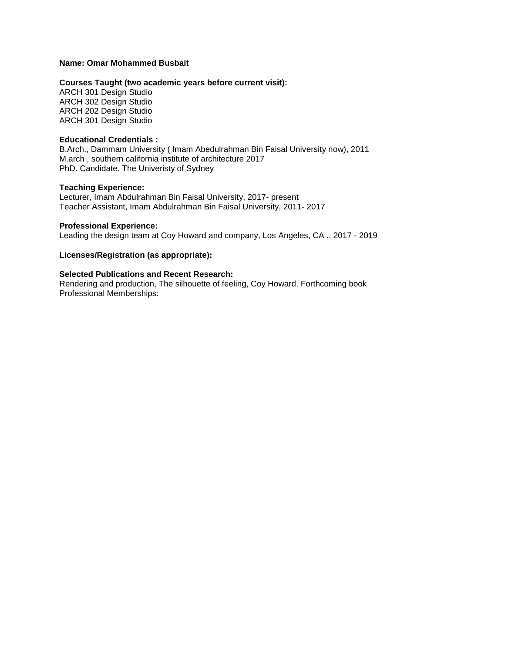### **Name: Omar Mohammed Busbait**

## **Courses Taught (two academic years before current visit):**

ARCH 301 Design Studio ARCH 302 Design Studio ARCH 202 Design Studio ARCH 301 Design Studio

#### **Educational Credentials :**

B.Arch., Dammam University ( Imam Abedulrahman Bin Faisal University now), 2011 M.arch , southern california institute of architecture 2017 PhD. Candidate. The Univeristy of Sydney

### **Teaching Experience:**

Lecturer, Imam Abdulrahman Bin Faisal University, 2017- present Teacher Assistant, Imam Abdulrahman Bin Faisal University, 2011- 2017

### **Professional Experience:**

Leading the design team at Coy Howard and company, Los Angeles, CA .. 2017 - 2019

# **Licenses/Registration (as appropriate):**

### **Selected Publications and Recent Research:**

Rendering and production, The silhouette of feeling, Coy Howard. Forthcoming book Professional Memberships: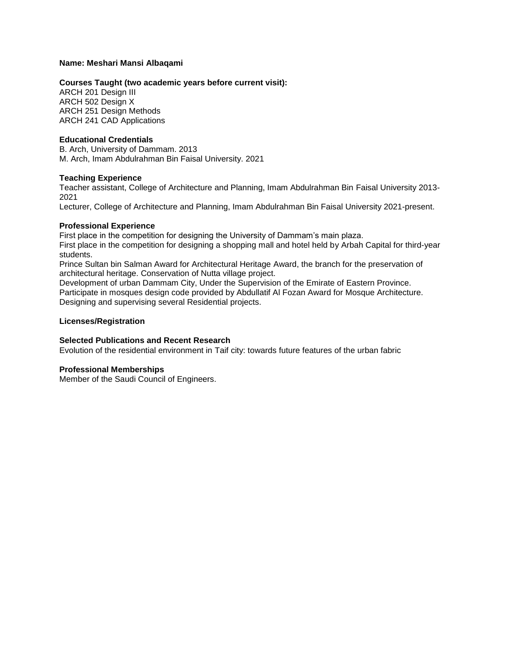### **Name: Meshari Mansi Albaqami**

### **Courses Taught (two academic years before current visit):**

ARCH 201 Design III ARCH 502 Design X ARCH 251 Design Methods ARCH 241 CAD Applications

### **Educational Credentials**

B. Arch, University of Dammam. 2013 M. Arch, Imam Abdulrahman Bin Faisal University. 2021

#### **Teaching Experience**

Teacher assistant, College of Architecture and Planning, Imam Abdulrahman Bin Faisal University 2013- 2021

Lecturer, College of Architecture and Planning, Imam Abdulrahman Bin Faisal University 2021-present.

### **Professional Experience**

First place in the competition for designing the University of Dammam's main plaza. First place in the competition for designing a shopping mall and hotel held by Arbah Capital for third-year students.

Prince Sultan bin Salman Award for Architectural Heritage Award, the branch for the preservation of architectural heritage. Conservation of Nutta village project.

Development of urban Dammam City, Under the Supervision of the Emirate of Eastern Province. Participate in mosques design code provided by Abdullatif Al Fozan Award for Mosque Architecture. Designing and supervising several Residential projects.

### **Licenses/Registration**

# **Selected Publications and Recent Research**

Evolution of the residential environment in Taif city: towards future features of the urban fabric

#### **Professional Memberships**

Member of the Saudi Council of Engineers.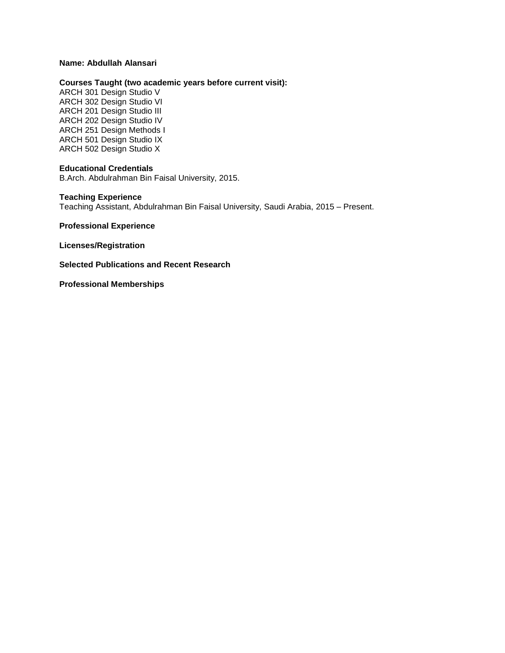## **Name: Abdullah Alansari**

### **Courses Taught (two academic years before current visit):**

ARCH 301 Design Studio V ARCH 302 Design Studio VI ARCH 201 Design Studio III ARCH 202 Design Studio IV ARCH 251 Design Methods I ARCH 501 Design Studio IX ARCH 502 Design Studio X

### **Educational Credentials**

B.Arch. Abdulrahman Bin Faisal University, 2015.

## **Teaching Experience**

Teaching Assistant, Abdulrahman Bin Faisal University, Saudi Arabia, 2015 – Present.

**Professional Experience**

**Licenses/Registration** 

**Selected Publications and Recent Research**

**Professional Memberships**